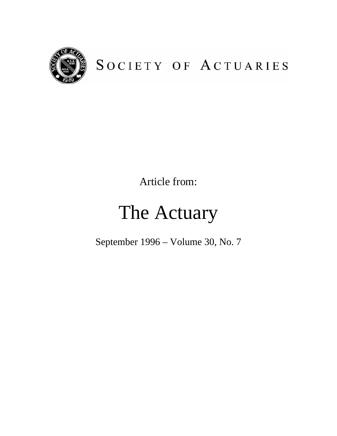

# SOCIETY OF ACTUARIES

Article from:

# The Actuary

September 1996 – Volume 30, No. 7